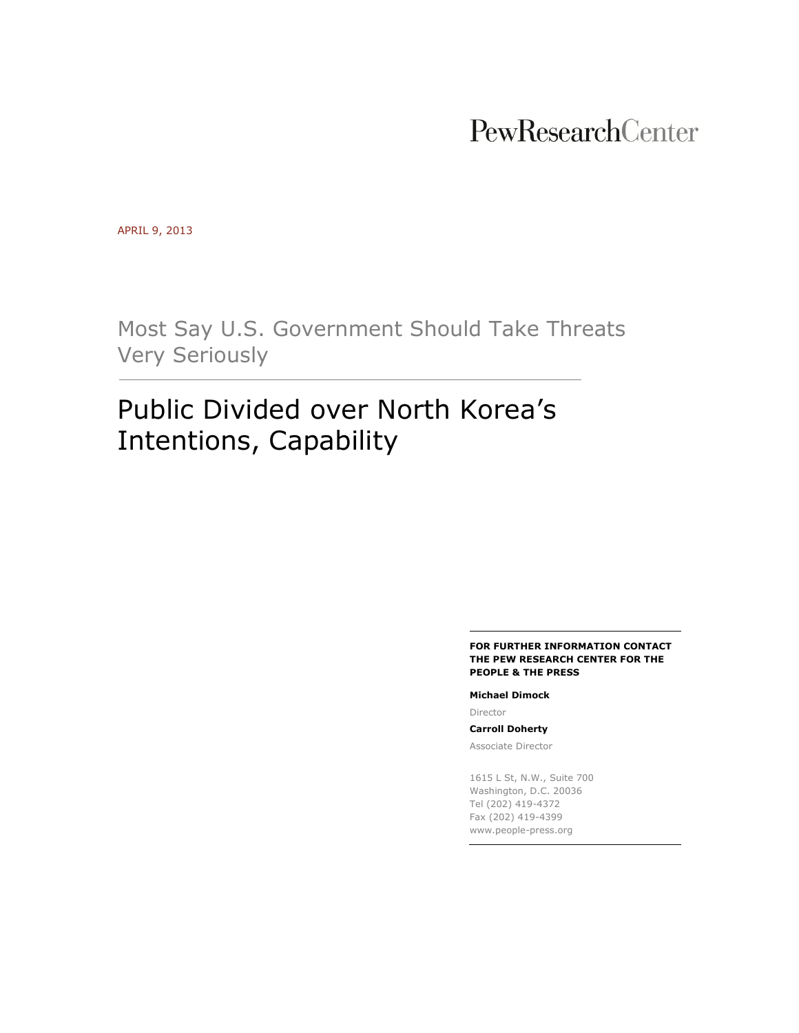## PewResearchCenter

APRIL 9, 2013

Most Say U.S. Government Should Take Threats Very Seriously

# Public Divided over North Korea's Intentions, Capability

#### **FOR FURTHER INFORMATION CONTACT THE PEW RESEARCH CENTER FOR THE PEOPLE & THE PRESS**

#### **Michael Dimock**

Director

### **Carroll Doherty**

Associate Director

1615 L St, N.W., Suite 700 Washington, D.C. 20036 Tel (202) 419-4372 Fax (202) 419-4399 www.people-press.org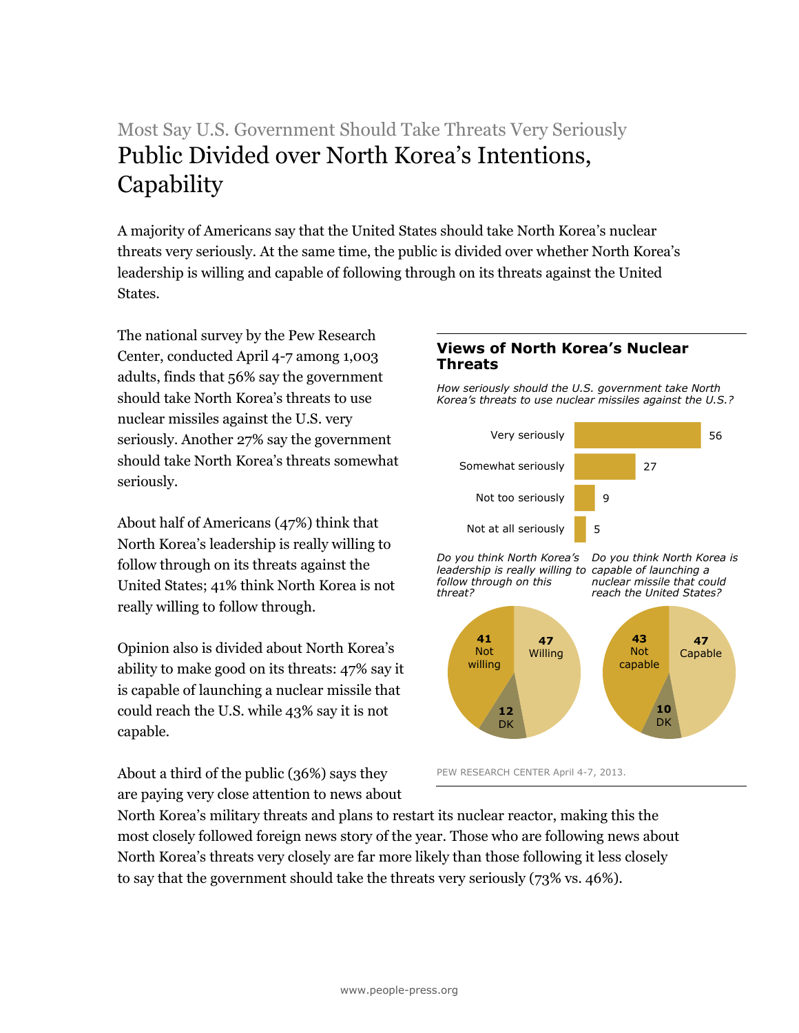## Most Say U.S. Government Should Take Threats Very Seriously Public Divided over North Korea's Intentions, **Capability**

A majority of Americans say that the United States should take North Korea's nuclear threats very seriously. At the same time, the public is divided over whether North Korea's leadership is willing and capable of following through on its threats against the United States.

The national survey by the Pew Research Center, conducted April 4-7 among 1,003 adults, finds that 56% say the government should take North Korea's threats to use nuclear missiles against the U.S. very seriously. Another 27% say the government should take North Korea's threats somewhat seriously.

About half of Americans (47%) think that North Korea's leadership is really willing to follow through on its threats against the United States; 41% think North Korea is not really willing to follow through.

Opinion also is divided about North Korea's ability to make good on its threats: 47% say it is capable of launching a nuclear missile that could reach the U.S. while 43% say it is not capable.

About a third of the public (36%) says they are paying very close attention to news about

## **Views of North Korea's Nuclear Threats**

*How seriously should the U.S. government take North Korea's threats to use nuclear missiles against the U.S.?*



PEW RESEARCH CENTER April 4-7, 2013.

North Korea's military threats and plans to restart its nuclear reactor, making this the most closely followed foreign news story of the year. Those who are following news about North Korea's threats very closely are far more likely than those following it less closely to say that the government should take the threats very seriously (73% vs. 46%).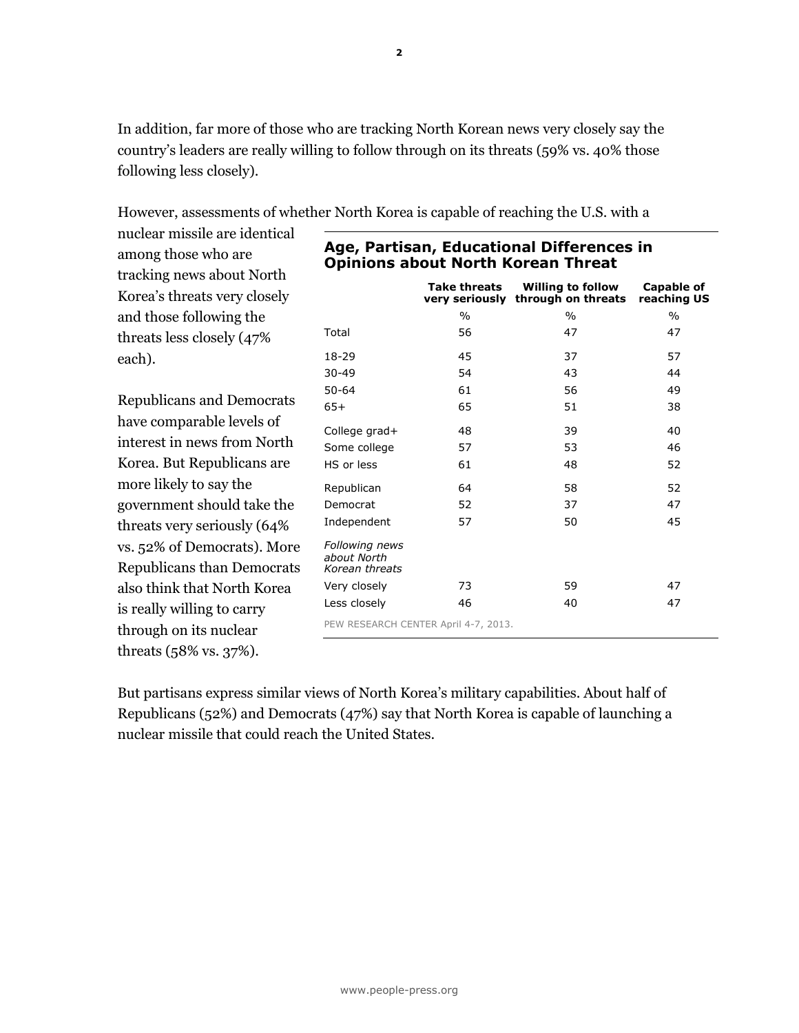In addition, far more of those who are tracking North Korean news very closely say the country's leaders are really willing to follow through on its threats (59% vs. 40% those following less closely).

However, assessments of whether North Korea is capable of reaching the U.S. with a

| nuclear missile are identical<br>among those who are | Age, Partisan, Educational Differences in |                                       |                                                |                                  |  |  |
|------------------------------------------------------|-------------------------------------------|---------------------------------------|------------------------------------------------|----------------------------------|--|--|
| tracking news about North                            | <b>Opinions about North Korean Threat</b> |                                       |                                                |                                  |  |  |
| Korea's threats very closely                         |                                           | <b>Take threats</b><br>very seriously | <b>Willing to follow</b><br>through on threats | <b>Capable of</b><br>reaching US |  |  |
| and those following the                              |                                           | $\frac{0}{0}$                         | $\frac{0}{0}$                                  | $\frac{0}{0}$                    |  |  |
| threats less closely (47%                            | Total                                     | 56                                    | 47                                             | 47                               |  |  |
| each).                                               | $18 - 29$                                 | 45                                    | 37                                             | 57                               |  |  |
|                                                      | $30 - 49$                                 | 54                                    | 43                                             | 44                               |  |  |
|                                                      | $50 - 64$                                 | 61                                    | 56                                             | 49                               |  |  |
| <b>Republicans and Democrats</b>                     | $65+$                                     | 65                                    | 51                                             | 38                               |  |  |
| have comparable levels of                            | College grad+                             | 48                                    | 39                                             | 40                               |  |  |
| interest in news from North                          | Some college                              | 57                                    | 53                                             | 46                               |  |  |
| Korea. But Republicans are                           | HS or less                                | 61                                    | 48                                             | 52                               |  |  |
| more likely to say the                               | Republican                                | 64                                    | 58                                             | 52                               |  |  |
| government should take the                           | Democrat                                  | 52                                    | 37                                             | 47                               |  |  |
| threats very seriously (64%                          | Independent                               | 57                                    | 50                                             | 45                               |  |  |
| vs. 52% of Democrats). More                          | Following news                            |                                       |                                                |                                  |  |  |
| Republicans than Democrats                           | about North<br>Korean threats             |                                       |                                                |                                  |  |  |
| also think that North Korea                          | Very closely                              | 73                                    | 59                                             | 47                               |  |  |
| is really willing to carry                           | Less closely                              | 46                                    | 40                                             | 47                               |  |  |
| through on its nuclear                               | PEW RESEARCH CENTER April 4-7, 2013.      |                                       |                                                |                                  |  |  |
| threats $(58\% \text{ vs. } 37\%).$                  |                                           |                                       |                                                |                                  |  |  |

But partisans express similar views of North Korea's military capabilities. About half of Republicans (52%) and Democrats (47%) say that North Korea is capable of launching a nuclear missile that could reach the United States.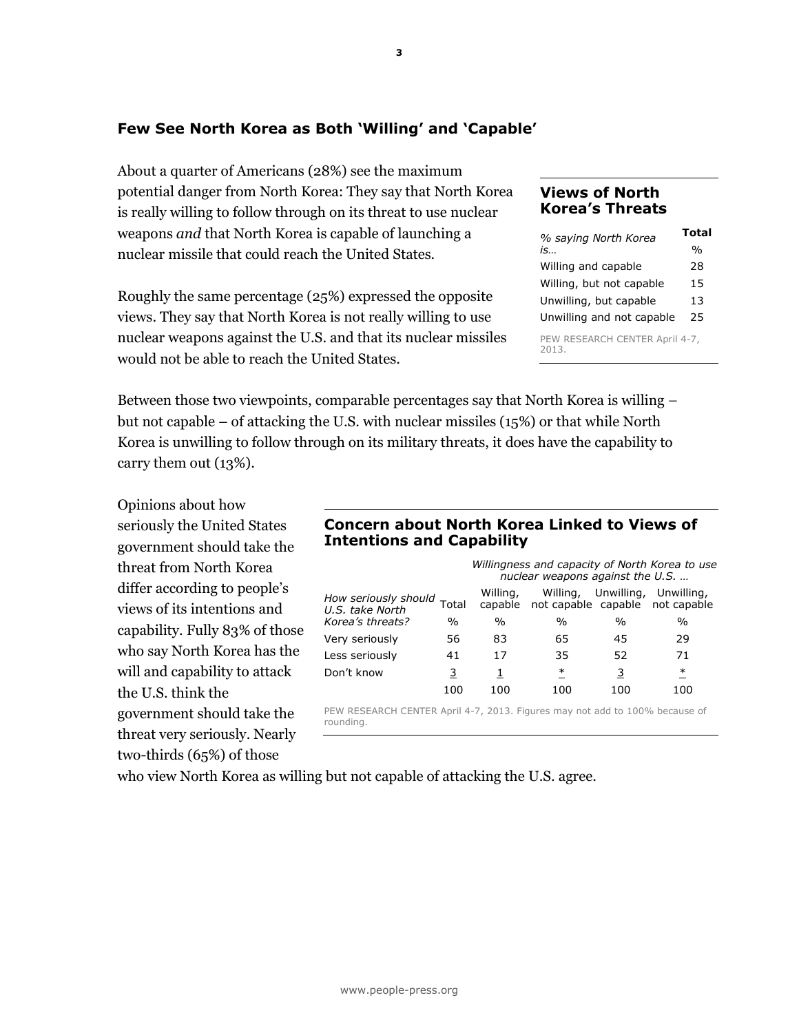## **Few See North Korea as Both 'Willing' and 'Capable'**

About a quarter of Americans (28%) see the maximum potential danger from North Korea: They say that North Korea is really willing to follow through on its threat to use nuclear weapons *and* that North Korea is capable of launching a nuclear missile that could reach the United States.

Roughly the same percentage (25%) expressed the opposite views. They say that North Korea is not really willing to use nuclear weapons against the U.S. and that its nuclear missiles would not be able to reach the United States.

## **Views of North Korea's Threats**

| % saying North Korea                    | Total |  |  |
|-----------------------------------------|-------|--|--|
| is                                      | %     |  |  |
| Willing and capable                     | 28    |  |  |
| Willing, but not capable                | 15    |  |  |
| Unwilling, but capable                  | 13    |  |  |
| Unwilling and not capable               | 25    |  |  |
| PEW RESEARCH CENTER April 4-7,<br>2013. |       |  |  |

Between those two viewpoints, comparable percentages say that North Korea is willing – but not capable – of attacking the U.S. with nuclear missiles (15%) or that while North Korea is unwilling to follow through on its military threats, it does have the capability to carry them out (13%).

Opinions about how seriously the United States government should take the threat from North Korea differ according to people's views of its intentions and capability. Fully 83% of those who say North Korea has the will and capability to attack the U.S. think the government should take the threat very seriously. Nearly two-thirds (65%) of those

### **Concern about North Korea Linked to Views of Intentions and Capability**

|                                                                                          |               | Willingness and capacity of North Korea to use<br>nuclear weapons against the U.S. |          |                |                                               |
|------------------------------------------------------------------------------------------|---------------|------------------------------------------------------------------------------------|----------|----------------|-----------------------------------------------|
| How seriously should<br>U.S. take North                                                  | Total         | Willing,<br>capable                                                                | Willing, | Unwilling,     | Unwilling,<br>not capable capable not capable |
| Korea's threats?                                                                         | $\frac{0}{0}$ | $\%$                                                                               | $\%$     | $\%$           | $\%$                                          |
| Very seriously                                                                           | 56            | 83                                                                                 | 65       | 45             | 29                                            |
| Less seriously                                                                           | 41            | 17                                                                                 | 35       | 52             | 71                                            |
| Don't know                                                                               | 3             | 1                                                                                  | $\ast$   | $\overline{3}$ | ∗                                             |
|                                                                                          | 100           | 100                                                                                | 100      | 100            | 100                                           |
| PEW RESEARCH CENTER April 4-7, 2013. Figures may not add to 100% because of<br>rounding. |               |                                                                                    |          |                |                                               |

who view North Korea as willing but not capable of attacking the U.S. agree.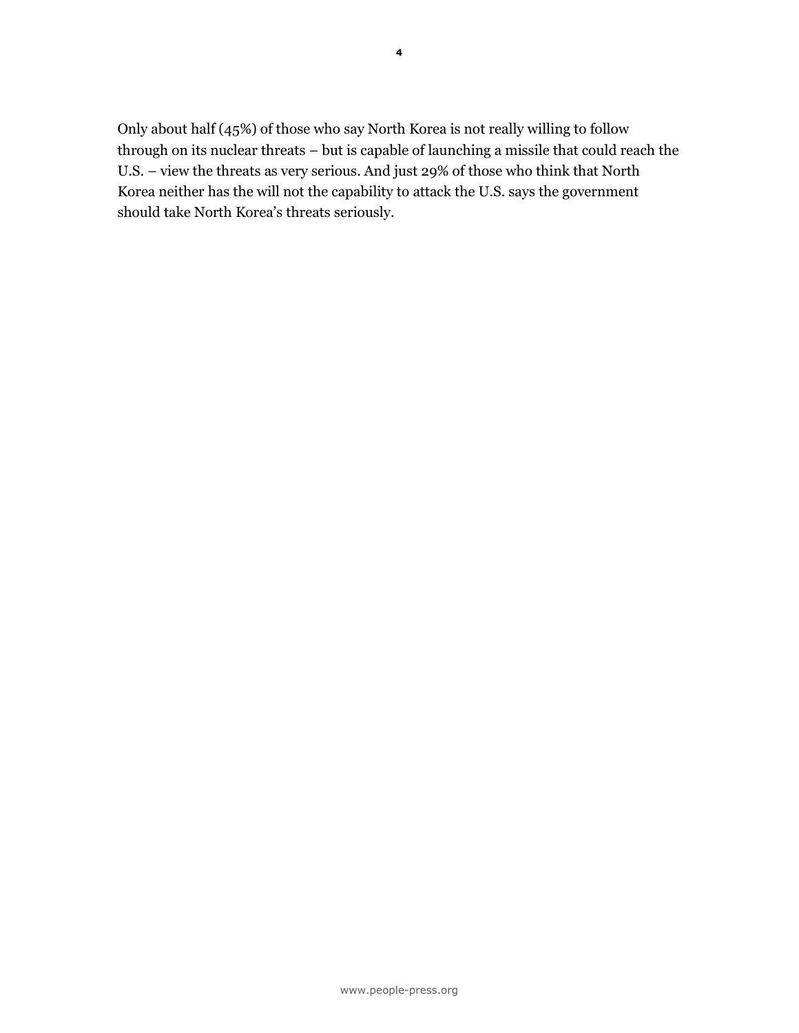Only about half (45%) of those who say North Korea is not really willing to follow through on its nuclear threats – but is capable of launching a missile that could reach the U.S. – view the threats as very serious. And just 29% of those who think that North Korea neither has the will not the capability to attack the U.S. says the government should take North Korea's threats seriously.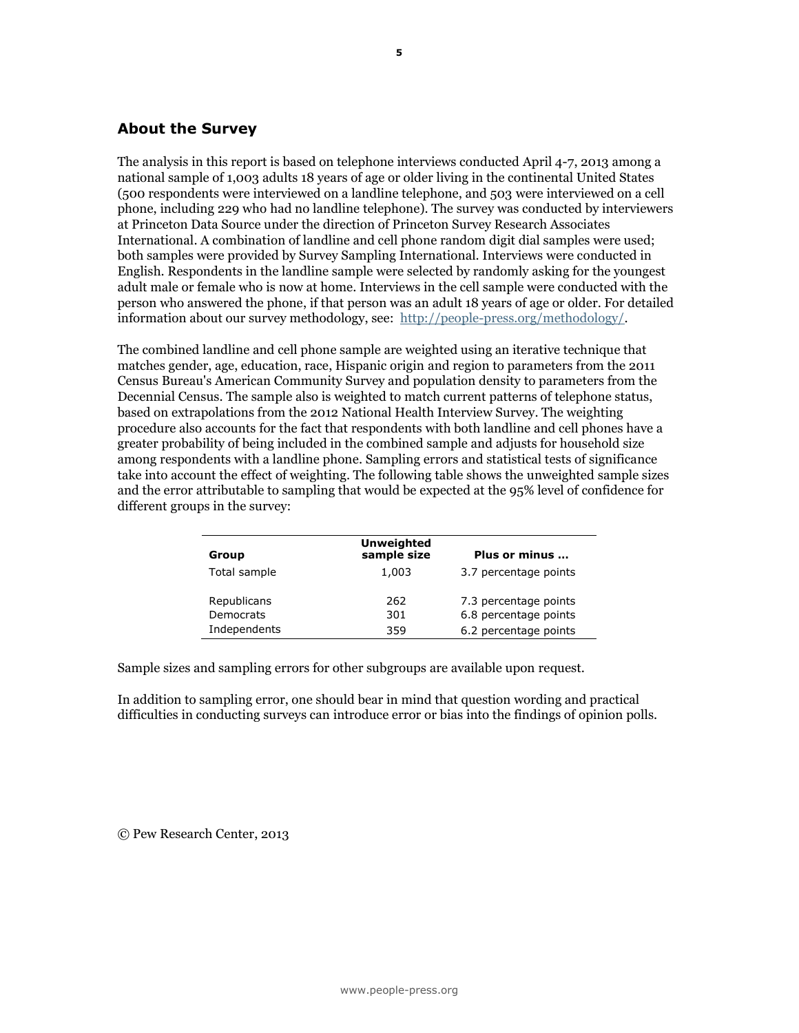## **About the Survey**

The analysis in this report is based on telephone interviews conducted April 4-7, 2013 among a national sample of 1,003 adults 18 years of age or older living in the continental United States (500 respondents were interviewed on a landline telephone, and 503 were interviewed on a cell phone, including 229 who had no landline telephone). The survey was conducted by interviewers at Princeton Data Source under the direction of Princeton Survey Research Associates International. A combination of landline and cell phone random digit dial samples were used; both samples were provided by Survey Sampling International. Interviews were conducted in English. Respondents in the landline sample were selected by randomly asking for the youngest adult male or female who is now at home. Interviews in the cell sample were conducted with the person who answered the phone, if that person was an adult 18 years of age or older. For detailed information about our survey methodology, see: [http://people-press.org/methodology/.](http://people-press.org/methodology/)

The combined landline and cell phone sample are weighted using an iterative technique that matches gender, age, education, race, Hispanic origin and region to parameters from the 2011 Census Bureau's American Community Survey and population density to parameters from the Decennial Census. The sample also is weighted to match current patterns of telephone status, based on extrapolations from the 2012 National Health Interview Survey. The weighting procedure also accounts for the fact that respondents with both landline and cell phones have a greater probability of being included in the combined sample and adjusts for household size among respondents with a landline phone. Sampling errors and statistical tests of significance take into account the effect of weighting. The following table shows the unweighted sample sizes and the error attributable to sampling that would be expected at the 95% level of confidence for different groups in the survey:

| Group                    | <b>Unweighted</b><br>sample size | Plus or minus                                  |
|--------------------------|----------------------------------|------------------------------------------------|
| Total sample             | 1,003                            | 3.7 percentage points                          |
| Republicans<br>Democrats | 262<br>301                       | 7.3 percentage points<br>6.8 percentage points |
| Independents             | 359                              | 6.2 percentage points                          |

Sample sizes and sampling errors for other subgroups are available upon request.

In addition to sampling error, one should bear in mind that question wording and practical difficulties in conducting surveys can introduce error or bias into the findings of opinion polls.

© Pew Research Center, 2013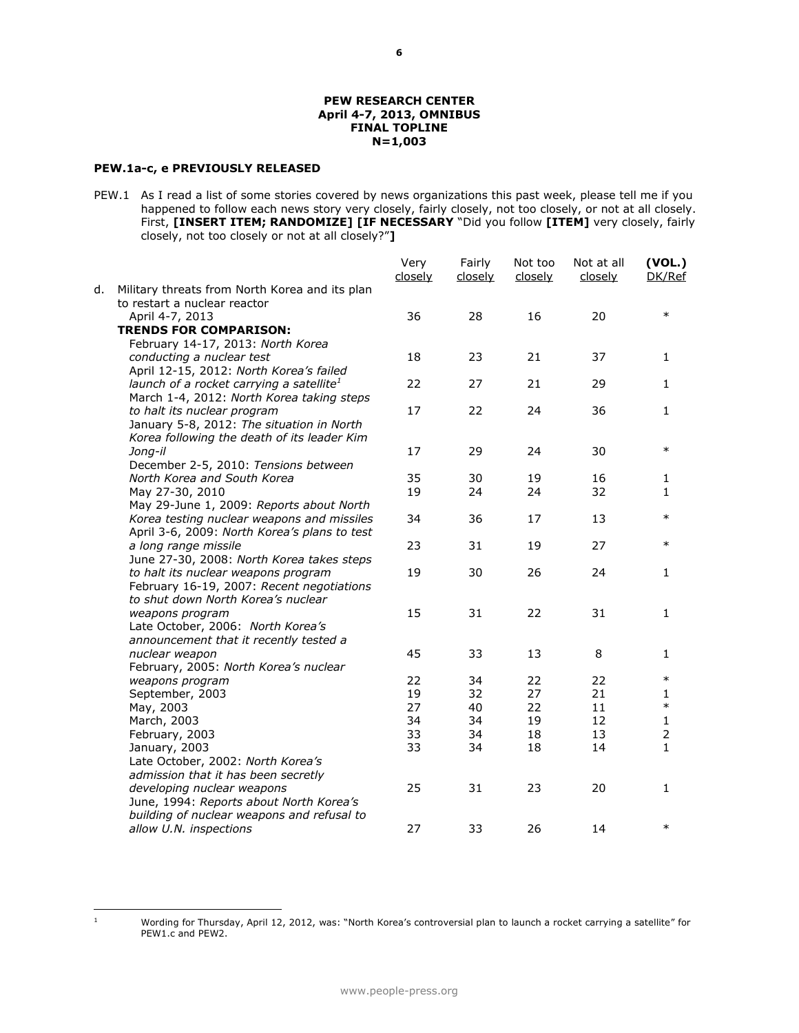#### **PEW RESEARCH CENTER April 4-7, 2013, OMNIBUS FINAL TOPLINE N=1,003**

#### **PEW.1a-c, e PREVIOUSLY RELEASED**

PEW.1 As I read a list of some stories covered by news organizations this past week, please tell me if you happened to follow each news story very closely, fairly closely, not too closely, or not at all closely. First, **[INSERT ITEM; RANDOMIZE] [IF NECESSARY** "Did you follow **[ITEM]** very closely, fairly closely, not too closely or not at all closely?"**]**

|    |                                                | Very<br>closely | Fairly<br>closely | Not too<br>closely | Not at all<br>closely | (VOL.)<br>DK/Ref |
|----|------------------------------------------------|-----------------|-------------------|--------------------|-----------------------|------------------|
| d. | Military threats from North Korea and its plan |                 |                   |                    |                       |                  |
|    | to restart a nuclear reactor                   |                 |                   |                    |                       |                  |
|    | April 4-7, 2013                                | 36              | 28                | 16                 | 20                    | $\ast$           |
|    | <b>TRENDS FOR COMPARISON:</b>                  |                 |                   |                    |                       |                  |
|    | February 14-17, 2013: North Korea              |                 |                   |                    |                       |                  |
|    | conducting a nuclear test                      | 18              | 23                | 21                 | 37                    | 1                |
|    | April 12-15, 2012: North Korea's failed        |                 |                   |                    |                       |                  |
|    | launch of a rocket carrying a satellite $^1$   | 22              | 27                | 21                 | 29                    | $\mathbf{1}$     |
|    | March 1-4, 2012: North Korea taking steps      |                 |                   |                    |                       |                  |
|    | to halt its nuclear program                    | 17              | 22                | 24                 | 36                    | 1                |
|    | January 5-8, 2012: The situation in North      |                 |                   |                    |                       |                  |
|    | Korea following the death of its leader Kim    |                 |                   |                    |                       |                  |
|    | Jong-il                                        | 17              | 29                | 24                 | 30                    | $\ast$           |
|    | December 2-5, 2010: Tensions between           |                 |                   |                    |                       |                  |
|    | North Korea and South Korea                    | 35              | 30                | 19                 | 16                    | 1                |
|    | May 27-30, 2010                                | 19              | 24                | 24                 | 32                    | 1                |
|    | May 29-June 1, 2009: Reports about North       |                 |                   |                    |                       |                  |
|    | Korea testing nuclear weapons and missiles     | 34              | 36                | 17                 | 13                    | $\ast$           |
|    | April 3-6, 2009: North Korea's plans to test   |                 |                   |                    |                       |                  |
|    | a long range missile                           | 23              | 31                | 19                 | 27                    | $\ast$           |
|    | June 27-30, 2008: North Korea takes steps      |                 |                   |                    |                       |                  |
|    | to halt its nuclear weapons program            | 19              | 30                | 26                 | 24                    | $\mathbf{1}$     |
|    | February 16-19, 2007: Recent negotiations      |                 |                   |                    |                       |                  |
|    | to shut down North Korea's nuclear             |                 |                   |                    |                       |                  |
|    | weapons program                                | 15              | 31                | 22                 | 31                    | $\mathbf{1}$     |
|    | Late October, 2006: North Korea's              |                 |                   |                    |                       |                  |
|    | announcement that it recently tested a         |                 |                   |                    |                       |                  |
|    | nuclear weapon                                 | 45              | 33                | 13                 | 8                     | 1                |
|    | February, 2005: North Korea's nuclear          |                 |                   |                    |                       |                  |
|    | weapons program                                | 22              | 34                | 22                 | 22                    | $\ast$           |
|    | September, 2003                                | 19              | 32                | 27                 | 21                    | 1                |
|    | May, 2003                                      | 27              | 40                | 22                 | 11                    | $\ast$           |
|    | March, 2003                                    | 34              | 34                | 19                 | 12                    | $\mathbf{1}$     |
|    | February, 2003                                 | 33              | 34                | 18                 | 13                    | $\overline{2}$   |
|    | January, 2003                                  | 33              | 34                | 18                 | 14                    | $\mathbf{1}$     |
|    | Late October, 2002: North Korea's              |                 |                   |                    |                       |                  |
|    | admission that it has been secretly            |                 |                   |                    |                       |                  |
|    | developing nuclear weapons                     | 25              | 31                | 23                 | 20                    | 1                |
|    | June, 1994: Reports about North Korea's        |                 |                   |                    |                       |                  |
|    | building of nuclear weapons and refusal to     |                 |                   |                    |                       |                  |
|    | allow U.N. inspections                         | 27              | 33                | 26                 | 14                    | $\ast$           |

 $\,$  1  $\,$ 

<sup>1</sup> Wording for Thursday, April 12, 2012, was: "North Korea's controversial plan to launch a rocket carrying a satellite" for PEW1.c and PEW2.